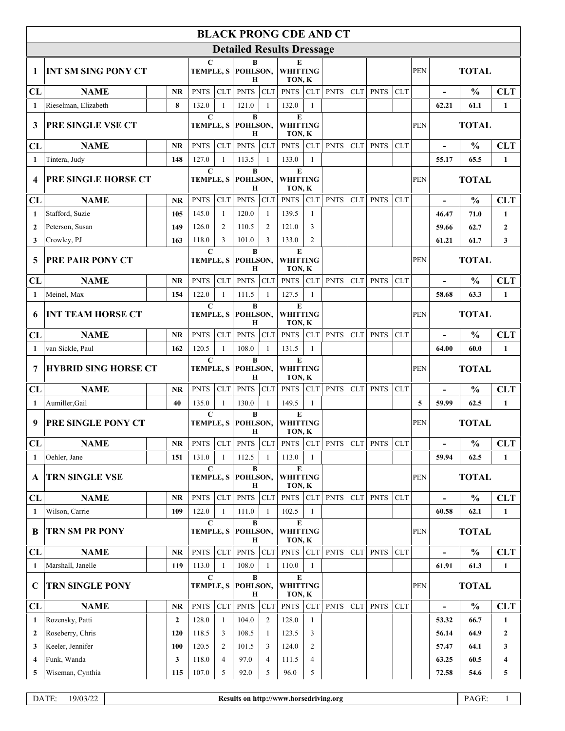| <b>BLACK PRONG CDE AND CT</b> |                             |                |                                                              |                                                              |                                                      |                                |                                        |                                |             |            |             |            |              |                          |               |                  |  |
|-------------------------------|-----------------------------|----------------|--------------------------------------------------------------|--------------------------------------------------------------|------------------------------------------------------|--------------------------------|----------------------------------------|--------------------------------|-------------|------------|-------------|------------|--------------|--------------------------|---------------|------------------|--|
|                               |                             |                |                                                              |                                                              |                                                      |                                | <b>Detailed Results Dressage</b>       |                                |             |            |             |            |              |                          |               |                  |  |
| -1                            | <b>INT SM SING PONY CT</b>  |                |                                                              | C                                                            | B<br>TEMPLE, S POHLSON,<br>н                         |                                | E<br><b>WHITTING</b><br>TON, K         |                                |             |            |             |            | <b>PEN</b>   |                          | <b>TOTAL</b>  |                  |  |
| CL                            | <b>NAME</b>                 | <b>NR</b>      | <b>PNTS</b>                                                  | <b>CLT</b>                                                   | <b>PNTS</b>                                          | <b>CLT</b>                     | <b>PNTS</b>                            | <b>CLT</b>                     | <b>PNTS</b> | <b>CLT</b> | <b>PNTS</b> | <b>CLT</b> |              |                          | $\frac{0}{0}$ | <b>CLT</b>       |  |
| 1                             | Rieselman, Elizabeth        | 8              | 132.0                                                        | $\mathbf{1}$                                                 | 121.0                                                | 1                              | 132.0                                  | -1                             |             |            |             |            |              | 62.21                    | 61.1          | $\mathbf{1}$     |  |
| 3                             | PRE SINGLE VSE CT           |                | $\mathbf C$<br><b>TEMPLE, S</b>                              |                                                              | $\bf{B}$<br>POHLSON,<br>Н                            |                                | $\bf E$<br><b>WHITTING</b><br>TON, K   |                                |             |            |             |            | <b>PEN</b>   |                          | <b>TOTAL</b>  |                  |  |
| CL                            | <b>NAME</b>                 | <b>NR</b>      | <b>PNTS</b>                                                  | CLT                                                          | <b>PNTS</b>                                          | ${\rm CLT}$                    | <b>PNTS</b>                            | <b>CLT</b>                     | <b>PNTS</b> | <b>CLT</b> | <b>PNTS</b> | <b>CLT</b> |              |                          | $\frac{0}{0}$ | <b>CLT</b>       |  |
| -1                            | Tintera, Judy               | 148            | 127.0                                                        | $\mathbf{1}$                                                 | 113.5                                                | $\mathbf{1}$                   | 133.0                                  | -1                             |             |            |             |            |              | 55.17                    | 65.5          | $\mathbf{1}$     |  |
| $\boldsymbol{4}$              | PRE SINGLE HORSE CT         |                | $\mathbf C$                                                  |                                                              | $\bf{B}$<br><b>TEMPLE, S POHLSON,</b><br>$\mathbf H$ |                                | ${\bf E}$                              | <b>WHITTING</b><br>TON, K      |             |            |             |            | <b>PEN</b>   | <b>TOTAL</b>             |               |                  |  |
| CL                            | <b>NAME</b>                 | <b>NR</b>      | <b>PNTS</b>                                                  | CLT                                                          | <b>PNTS</b>                                          | CLT                            | <b>PNTS</b>                            | <b>CLT</b>                     | <b>PNTS</b> | <b>CLT</b> | <b>PNTS</b> | <b>CLT</b> |              | $\blacksquare$           | $\frac{0}{0}$ | <b>CLT</b>       |  |
| -1                            | Stafford, Suzie             | 105            | 145.0                                                        | -1                                                           | 120.0                                                | 1                              | 139.5                                  | -1                             |             |            |             |            |              | 46.47                    | 71.0          | 1                |  |
| $\overline{2}$                | Peterson, Susan             | 149            | 126.0                                                        | 2                                                            | 110.5                                                | 2                              | 121.0                                  | 3                              |             |            |             |            |              | 59.66                    | 62.7          | $\overline{2}$   |  |
| 3                             | Crowley, PJ                 | 163            | 118.0                                                        | 3                                                            | 101.0                                                | $\mathcal{R}$                  | 133.0                                  | $\mathfrak{2}$                 |             |            |             |            |              | 61.21                    | 61.7          | 3                |  |
| 5                             | <b>PRE PAIR PONY CT</b>     |                |                                                              | $\bf{B}$<br>$\mathbf C$<br><b>TEMPLE, S</b><br>POHLSON,<br>H |                                                      |                                | E<br><b>WHITTING</b><br>TON, K         |                                |             |            |             | <b>PEN</b> |              | <b>TOTAL</b>             |               |                  |  |
| CL                            | <b>NAME</b>                 | <b>NR</b>      | <b>PNTS</b>                                                  | <b>CLT</b>                                                   | <b>PNTS</b>                                          | <b>CLT</b>                     | <b>PNTS</b>                            | <b>CLT</b>                     | <b>PNTS</b> | <b>CLT</b> | <b>PNTS</b> | <b>CLT</b> |              |                          | $\frac{0}{0}$ | <b>CLT</b>       |  |
| 1                             | Meinel, Max                 | 154            | 122.0                                                        | $\mathbf{1}$                                                 | 111.5                                                | 1                              | 127.5                                  | -1                             |             |            |             |            |              | 58.68                    | 63.3          | $\mathbf{1}$     |  |
| 6                             | <b>INT TEAM HORSE CT</b>    |                |                                                              | $\mathbf C$<br><b>TEMPLE, S</b>                              |                                                      | B<br>POHLSON,<br>H             |                                        | E<br><b>WHITTING</b><br>TON, K |             |            |             |            |              | <b>TOTAL</b>             |               |                  |  |
| CL                            | <b>NAME</b>                 | <b>NR</b>      | <b>PNTS</b>                                                  | <b>CLT</b>                                                   | <b>PNTS</b>                                          | <b>CLT</b>                     | <b>PNTS</b>                            | <b>CLT</b>                     | <b>PNTS</b> | <b>CLT</b> | <b>PNTS</b> | <b>CLT</b> |              |                          | $\frac{0}{0}$ | <b>CLT</b>       |  |
| -1                            | van Sickle, Paul            | 162            | 120.5                                                        | $\mathbf{1}$                                                 | 108.0                                                | 1                              | 131.5                                  | -1                             |             |            |             |            |              | 64.00                    | 60.0          | $\mathbf{1}$     |  |
| 7                             | <b>HYBRID SING HORSE CT</b> |                |                                                              | $\mathbf C$<br><b>TEMPLE, S</b>                              |                                                      | $\bf{B}$<br>POHLSON,<br>Н      |                                        | E<br><b>WHITTING</b><br>TON, K |             |            |             |            | <b>PEN</b>   | <b>TOTAL</b>             |               |                  |  |
| CL                            | <b>NAME</b>                 | <b>NR</b>      | <b>PNTS</b>                                                  | <b>CLT</b>                                                   | <b>PNTS</b>                                          | <b>CLT</b>                     | <b>PNTS</b>                            | CLT                            | <b>PNTS</b> | CLT        | <b>PNTS</b> | <b>CLT</b> |              |                          | $\frac{0}{0}$ | <b>CLT</b>       |  |
| $\mathbf{1}$                  | Aumiller, Gail              | 40             | 135.0                                                        | $\mathbf{1}$                                                 | 130.0                                                | 1                              | 149.5                                  | 1                              |             |            |             |            | 5            | 59.99                    | 62.5          | $\mathbf{1}$     |  |
| 9                             | PRE SINGLE PONY CT          |                | $\mathbf C$<br>$\bf{B}$<br><b>TEMPLE, S</b><br>POHLSON,<br>Н |                                                              |                                                      | E<br><b>WHITTING</b><br>TON, K |                                        |                                |             |            |             | <b>PEN</b> | <b>TOTAL</b> |                          |               |                  |  |
| CL                            | <b>NAME</b>                 | <b>NR</b>      | <b>PNTS</b>                                                  | CLT                                                          | <b>PNTS</b>                                          | CLT                            | <b>PNTS</b>                            | <b>CLT</b>                     | <b>PNTS</b> | <b>CLT</b> | <b>PNTS</b> | <b>CLT</b> |              | $\overline{a}$           | $\frac{0}{0}$ | <b>CLT</b>       |  |
| 1                             | Oehler, Jane                | 151            | 131.0                                                        | $\mathbf{1}$                                                 | 112.5                                                | 1                              | 113.0                                  | -1                             |             |            |             |            |              | 59.94                    | 62.5          | $\mathbf{1}$     |  |
| A                             | TRN SINGLE VSE              |                | C<br><b>TEMPLE, S</b>                                        |                                                              | B<br>POHLSON,<br>Н                                   |                                | E<br><b>WHITTING</b><br>TON, K         |                                |             |            |             |            | <b>PEN</b>   | <b>TOTAL</b>             |               |                  |  |
| CL                            | <b>NAME</b>                 | <b>NR</b>      | <b>PNTS</b>                                                  | CLT                                                          | <b>PNTS</b>                                          | <b>CLT</b>                     | <b>PNTS</b>                            | <b>CLT</b>                     | <b>PNTS</b> | CLT        | <b>PNTS</b> | <b>CLT</b> |              | $\overline{\phantom{a}}$ | $\frac{0}{0}$ | <b>CLT</b>       |  |
| -1                            | Wilson, Carrie              | 109            | 122.0                                                        | $\mathbf{1}$                                                 | 111.0                                                | $\mathbf{1}$                   | 102.5                                  | -1                             |             |            |             |            |              | 60.58                    | 62.1          | $\mathbf{1}$     |  |
| B                             | TRN SM PR PONY              |                |                                                              | $\bf{B}$<br>$\mathbf C$<br>TEMPLE, S<br>POHLSON,<br>Н        |                                                      |                                | E<br><b>WHITTING</b><br>TON, K         |                                |             |            |             |            | <b>PEN</b>   | <b>TOTAL</b>             |               |                  |  |
| CL                            | <b>NAME</b>                 | <b>NR</b>      | <b>PNTS</b>                                                  | <b>CLT</b>                                                   | <b>PNTS</b>                                          | <b>CLT</b>                     | <b>PNTS</b>                            | <b>CLT</b>                     | <b>PNTS</b> | <b>CLT</b> | <b>PNTS</b> | <b>CLT</b> |              | $\overline{\phantom{a}}$ | $\frac{0}{0}$ | <b>CLT</b>       |  |
| 1                             | Marshall, Janelle           | 119            | 113.0                                                        | $\mathbf{1}$                                                 | 108.0                                                | 1                              | 110.0                                  | $\mathbf{1}$                   |             |            |             |            |              | 61.91                    | 61.3          | $\mathbf{1}$     |  |
| $\mathbf C$                   | TRN SINGLE PONY             |                |                                                              | $\mathbf C$<br>B<br>POHLSON,<br><b>TEMPLE, S</b><br>Н        |                                                      | E<br><b>WHITTING</b><br>TON, K |                                        |                                |             |            |             | <b>PEN</b> | <b>TOTAL</b> |                          |               |                  |  |
| CL                            | <b>NAME</b>                 | <b>NR</b>      | <b>PNTS</b>                                                  | CLT                                                          | <b>PNTS</b>                                          | CLT                            | <b>PNTS</b>                            | <b>CLT</b>                     | <b>PNTS</b> | <b>CLT</b> | <b>PNTS</b> | <b>CLT</b> |              |                          | $\frac{0}{0}$ | <b>CLT</b>       |  |
| 1                             | Rozensky, Patti             | $\overline{2}$ | 128.0                                                        | $\mathbf{1}$                                                 | 104.0                                                | $\overline{c}$                 | 128.0                                  | -1                             |             |            |             |            |              | 53.32                    | 66.7          | $\mathbf{1}$     |  |
| $\overline{2}$                | Roseberry, Chris            | 120            | 118.5                                                        | 3                                                            | 108.5                                                | -1                             | 123.5                                  | 3                              |             |            |             |            |              | 56.14                    | 64.9          | $\boldsymbol{2}$ |  |
| 3                             | Keeler, Jennifer            | 100            | 120.5                                                        | $\overline{c}$                                               | 101.5                                                | 3                              | 124.0                                  | 2                              |             |            |             |            |              | 57.47                    | 64.1          | 3                |  |
| $\overline{\mathbf{4}}$       | Funk, Wanda                 | 3              | 118.0                                                        | $\overline{4}$                                               | 97.0                                                 | 4                              | 111.5                                  | $\overline{4}$                 |             |            |             |            |              | 63.25                    | 60.5          | 4                |  |
| 5                             | Wiseman, Cynthia            | 115            | 107.0                                                        | 5                                                            | 92.0                                                 | 5                              | 96.0                                   | 5                              |             |            |             |            |              | 72.58                    | 54.6          | 5                |  |
|                               | DATE:<br>19/03/22           |                |                                                              |                                                              |                                                      |                                | Results on http://www.horsedriving.org |                                |             |            |             |            |              |                          | PAGE:         | $\mathbf{1}$     |  |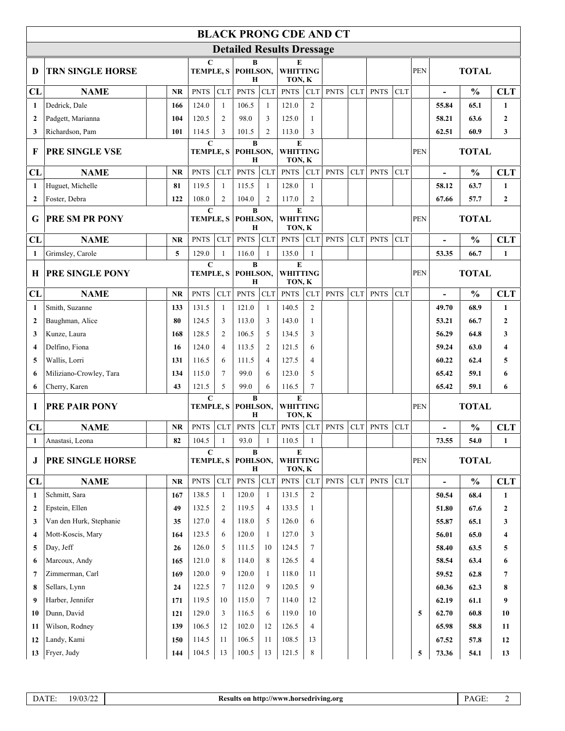| <b>BLACK PRONG CDE AND CT</b> |                                 |           |            |                                                                 |                                                              |                                  |                                        |                |                                        |             |            |             |                     |              |                |               |                  |  |
|-------------------------------|---------------------------------|-----------|------------|-----------------------------------------------------------------|--------------------------------------------------------------|----------------------------------|----------------------------------------|----------------|----------------------------------------|-------------|------------|-------------|---------------------|--------------|----------------|---------------|------------------|--|
|                               |                                 |           |            |                                                                 |                                                              | <b>Detailed Results Dressage</b> |                                        |                |                                        |             |            |             |                     |              |                |               |                  |  |
| D                             | <b>TRN SINGLE HORSE</b>         |           |            | $\mathbf C$<br>В<br><b>TEMPLE, S</b><br>POHLSON,<br>H           |                                                              |                                  | E<br><b>WHITTING</b><br>TON, K         |                |                                        |             |            |             | <b>TOTAL</b><br>PEN |              |                |               |                  |  |
| CL                            | <b>NAME</b>                     |           | <b>NR</b>  | <b>PNTS</b>                                                     | CLT                                                          | <b>PNTS</b>                      | CLT                                    | <b>PNTS</b>    | CLT                                    | <b>PNTS</b> | <b>CLT</b> | <b>PNTS</b> | <b>CLT</b>          |              | $\blacksquare$ | $\frac{0}{0}$ | <b>CLT</b>       |  |
| $\mathbf{1}$                  | Dedrick, Dale                   |           | 166        | 124.0                                                           | $\mathbf{1}$                                                 | 106.5                            | -1                                     | 121.0          | $\overline{2}$                         |             |            |             |                     |              | 55.84          | 65.1          | $\mathbf{1}$     |  |
| $\overline{2}$                | Padgett, Marianna               |           | 104        | 120.5                                                           | 2                                                            | 98.0                             | 3                                      | 125.0          | 1                                      |             |            |             |                     |              | 58.21          | 63.6          | $\boldsymbol{2}$ |  |
| 3                             | Richardson, Pam                 | 101       |            | 114.5                                                           | 3                                                            | 101.5                            | $\overline{2}$                         | 113.0          | 3                                      |             |            |             |                     |              | 62.51          | 60.9          | 3                |  |
| F                             | <b>PRE SINGLE VSE</b>           |           |            |                                                                 | $\mathbf C$<br>$\bf{B}$<br><b>TEMPLE, S</b><br>POHLSON,<br>Н |                                  | ${\bf E}$<br><b>WHITTING</b><br>TON, K |                |                                        |             |            |             | <b>PEN</b>          | <b>TOTAL</b> |                |               |                  |  |
| CL                            | <b>NAME</b>                     |           | <b>NR</b>  | <b>PNTS</b>                                                     | <b>CLT</b>                                                   | <b>PNTS</b>                      | CLT                                    | <b>PNTS</b>    | <b>CLT</b>                             | <b>PNTS</b> | <b>CLT</b> | <b>PNTS</b> | <b>CLT</b>          |              |                | $\frac{0}{0}$ | <b>CLT</b>       |  |
| $\mathbf{1}$                  | Huguet, Michelle                | 81        |            | 119.5                                                           | $\mathbf{1}$                                                 | 115.5                            | -1                                     | 128.0          | 1                                      |             |            |             |                     |              | 58.12          | 63.7          | $\mathbf{1}$     |  |
| $\overline{2}$                | Foster, Debra                   |           | 122        | 108.0                                                           | 2                                                            | 104.0                            | 2                                      | 117.0          | $\overline{2}$                         |             |            |             |                     |              | 67.66          | 57.7          | $\mathbf{2}$     |  |
| G                             | <b>PRE SM PR PONY</b>           |           |            | $\mathbf C$<br>B<br>POHLSON,<br><b>TEMPLE, S</b><br>$\mathbf H$ |                                                              | E<br><b>WHITTING</b><br>TON, K   |                                        |                |                                        |             |            | <b>PEN</b>  | <b>TOTAL</b>        |              |                |               |                  |  |
| CL                            | <b>NAME</b>                     | <b>NR</b> |            | <b>PNTS</b>                                                     | <b>CLT</b>                                                   | <b>PNTS</b>                      | <b>CLT</b>                             | <b>PNTS</b>    | <b>CLT</b>                             | <b>PNTS</b> | <b>CLT</b> | <b>PNTS</b> | <b>CLT</b>          |              |                | $\frac{0}{0}$ | <b>CLT</b>       |  |
| $\mathbf{1}$                  | Grimsley, Carole                |           | 5          | 129.0                                                           | $\mathbf{1}$                                                 | 116.0                            | $\mathbf{1}$                           | 135.0          | 1                                      |             |            |             |                     |              | 53.35          | 66.7          | $\mathbf{1}$     |  |
| $\mathbf H$                   | PRE SINGLE PONY                 |           |            | $\mathbf C$<br><b>TEMPLE, S</b>                                 |                                                              |                                  | $\bf{B}$<br>POHLSON,                   |                | ${\bf E}$<br><b>WHITTING</b><br>TON, K |             |            |             |                     |              | <b>TOTAL</b>   |               |                  |  |
| CL                            | <b>NAME</b>                     |           | <b>NR</b>  | <b>PNTS</b>                                                     | <b>CLT</b>                                                   | н<br><b>PNTS</b>                 | <b>CLT</b>                             | <b>PNTS</b>    | <b>CLT</b>                             | <b>PNTS</b> | <b>CLT</b> | <b>PNTS</b> | <b>CLT</b>          |              |                | $\frac{0}{0}$ | <b>CLT</b>       |  |
| $\mathbf{1}$                  | Smith, Suzanne                  |           | 133        | 131.5                                                           | 1                                                            | 121.0                            | $\overline{1}$                         | 140.5          | 2                                      |             |            |             |                     |              | 49.70          | 68.9          | $\mathbf{1}$     |  |
| $\overline{2}$                | Baughman, Alice                 | 80        |            | 124.5                                                           | 3                                                            | 113.0                            | 3                                      | 143.0          | $\mathbf{1}$                           |             |            |             |                     |              | 53.21          | 66.7          | $\boldsymbol{2}$ |  |
| 3                             | Kunze, Laura                    | 168       |            | 128.5                                                           | 2                                                            | 106.5                            | 5                                      | 134.5          | 3                                      |             |            |             |                     |              | 56.29          | 64.8          | 3                |  |
| $\overline{\mathbf{4}}$       | Delfino, Fiona                  |           | 16         | 124.0                                                           | 4                                                            | 113.5                            | $\overline{2}$                         | 121.5          | 6                                      |             |            |             |                     |              | 59.24          | 63.0          | 4                |  |
| 5                             | Wallis, Lorri                   | 131       |            | 116.5                                                           | 6                                                            | 111.5                            | $\overline{4}$                         | 127.5          | $\overline{4}$                         |             |            |             |                     |              | 60.22          | 62.4          | 5                |  |
| 6                             | Miliziano-Crowley, Tara         | 134       |            | 115.0                                                           | $\tau$                                                       | 99.0                             | 6                                      | 123.0          | 5                                      |             |            |             |                     |              | 65.42          | 59.1          | 6                |  |
| 6                             | Cherry, Karen                   |           | 43         | 121.5                                                           | 5                                                            | 99.0                             | 6                                      | 116.5          | $\tau$                                 |             |            |             |                     |              | 65.42          | 59.1          | 6                |  |
| I                             | <b>PRE PAIR PONY</b>            |           |            | $\mathbf C$<br>$\bf{B}$<br><b>TEMPLE, S</b><br>POHLSON,         |                                                              | ${\bf E}$<br><b>WHITTING</b>     |                                        |                |                                        |             |            | <b>PEN</b>  |                     | <b>TOTAL</b> |                |               |                  |  |
|                               |                                 |           |            |                                                                 |                                                              | Н                                |                                        | TON, K         |                                        |             |            |             |                     |              |                |               |                  |  |
| CL                            | <b>NAME</b>                     |           | <b>NR</b>  | <b>PNTS</b>                                                     | CLT                                                          | <b>PNTS</b>                      | <b>CLT</b>                             | <b>PNTS</b>    | <b>CLT</b>                             | <b>PNTS</b> | CLT        | <b>PNTS</b> | <b>CLT</b>          |              |                | $\frac{0}{0}$ | <b>CLT</b>       |  |
| 1                             | Anastasi, Leona                 | 82        |            | 104.5                                                           | $\mathbf{1}$                                                 | 93.0                             | 1                                      | 110.5          | $\mathbf{1}$                           |             |            |             |                     |              | 73.55          | 54.0          | $\mathbf{1}$     |  |
| J                             | PRE SINGLE HORSE                |           |            | $\mathbf C$<br>TEMPLE, S                                        |                                                              |                                  | B<br>POHLSON,<br>Н                     |                | E<br><b>WHITTING</b><br>TON, K         |             |            |             |                     | PEN          |                | <b>TOTAL</b>  |                  |  |
| CL                            | <b>NAME</b>                     | NR        |            | <b>PNTS</b>                                                     | CLT                                                          | <b>PNTS</b>                      | CLT                                    | <b>PNTS</b>    | <b>CLT</b>                             | <b>PNTS</b> | <b>CLT</b> | <b>PNTS</b> | <b>CLT</b>          |              | $\blacksquare$ | $\frac{0}{0}$ | <b>CLT</b>       |  |
| 1                             | Schmitt, Sara                   |           | 167        | 138.5                                                           | 1                                                            | 120.0                            | -1                                     | 131.5          | $\overline{c}$                         |             |            |             |                     |              | 50.54          | 68.4          | 1                |  |
| $\mathbf{2}$                  | Epstein, Ellen                  | 49        |            | 132.5                                                           | 2                                                            | 119.5                            | $\overline{4}$                         | 133.5          | 1                                      |             |            |             |                     |              | 51.80          | 67.6          | $\mathbf{2}$     |  |
| 3                             | Van den Hurk, Stephanie         | 35        |            | 127.0                                                           | 4                                                            | 118.0                            | 5                                      | 126.0          | 6                                      |             |            |             |                     |              | 55.87          | 65.1          | 3                |  |
| $\overline{4}$                | Mott-Koscis, Mary               |           | 164        | 123.5                                                           | 6                                                            | 120.0                            | 1                                      | 127.0          | 3                                      |             |            |             |                     |              | 56.01          | 65.0          | 4                |  |
| 5                             | Day, Jeff                       |           | 26         | 126.0                                                           | 5                                                            | 111.5                            | 10                                     | 124.5          | $\tau$                                 |             |            |             |                     |              | 58.40          | 63.5          | 5                |  |
| 6                             | Marcoux, Andy                   |           | 165        | 121.0                                                           | 8                                                            | 114.0                            | 8                                      | 126.5          | $\overline{4}$                         |             |            |             |                     |              | 58.54          | 63.4          | 6                |  |
| $7\phantom{.0}$               | Zimmerman, Carl                 |           | 169        | 120.0                                                           | 9                                                            | 120.0                            | -1                                     | 118.0          | 11                                     |             |            |             |                     |              | 59.52          | 62.8          | 7                |  |
| 8                             | Sellars, Lynn                   | 24        |            | 122.5                                                           | 7                                                            | 112.0                            | 9                                      | 120.5          | 9                                      |             |            |             |                     |              | 60.36          | 62.3          | 8                |  |
| 9                             | Harber, Jennifer<br>Dunn, David |           | 171        | 119.5<br>129.0                                                  | 10<br>3                                                      | 115.0<br>116.5                   | 7<br>6                                 | 114.0<br>119.0 | 12<br>10                               |             |            |             |                     |              | 62.19<br>62.70 | 61.1          | 9                |  |
| 10<br>11                      | Wilson, Rodney                  |           | 121<br>139 | 106.5                                                           | 12                                                           | 102.0                            | 12                                     | 126.5          | $\overline{4}$                         |             |            |             |                     | 5            | 65.98          | 60.8<br>58.8  | 10<br>11         |  |
|                               |                                 |           |            |                                                                 |                                                              |                                  |                                        |                |                                        |             |            |             |                     |              |                |               |                  |  |
|                               |                                 |           |            |                                                                 | 13                                                           |                                  | 13                                     |                | 8                                      |             |            |             |                     |              |                |               |                  |  |
| 12<br>13                      | Landy, Kami<br>Fryer, Judy      |           | 150<br>144 | 114.5<br>104.5                                                  | 11                                                           | 106.5<br>100.5                   | 11                                     | 108.5<br>121.5 | 13                                     |             |            |             |                     | 5            | 67.52<br>73.36 | 57.8<br>54.1  | 12<br>13         |  |